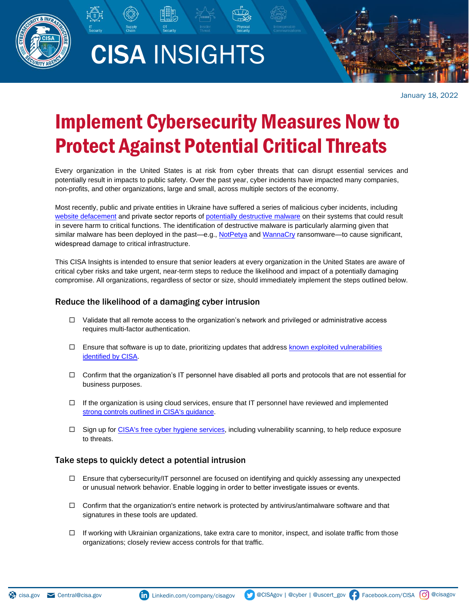

# CISA INSIGHTS



January 18, 2022

## Implement Cybersecurity Measures Now to Protect Against Potential Critical Threats

Every organization in the United States is at risk from cyber threats that can disrupt essential services and potentially result in impacts to public safety. Over the past year, cyber incidents have impacted many companies, non-profits, and other organizations, large and small, across multiple sectors of the economy.

Most recently, public and private entities in Ukraine have suffered a series of malicious cyber incidents, including [website defacement](https://www.cnn.com/2022/01/14/europe/ukraine-cyber-attack-government-intl/index.html) and private sector reports of [potentially destructive malware](https://www.cisa.gov/uscert/ncas/current-activity/2022/01/16/microsoft-warns-destructive-malware-targeting-ukrainian) on their systems that could result in severe harm to critical functions. The identification of destructive malware is particularly alarming given that similar malware has been deployed in the past—e.g., [NotPetya](https://www.cisa.gov/uscert/ncas/alerts/TA17-181A) and [WannaCry](https://www.cisa.gov/uscert/ncas/alerts/TA17-132A) ransomware—to cause significant, widespread damage to critical infrastructure.

This CISA Insights is intended to ensure that senior leaders at every organization in the United States are aware of critical cyber risks and take urgent, near-term steps to reduce the likelihood and impact of a potentially damaging compromise. All organizations, regardless of sector or size, should immediately implement the steps outlined below.

### Reduce the likelihood of a damaging cyber intrusion

- $\Box$  Validate that all remote access to the organization's network and privileged or administrative access requires multi-factor authentication.
- $\Box$  Ensure that software is up to date, prioritizing updates that address [known exploited vulnerabilities](https://www.cisa.gov/known-exploited-vulnerabilities-catalog) [identified by CISA.](https://www.cisa.gov/known-exploited-vulnerabilities-catalog)
- $\Box$  Confirm th[at the organization's IT personnel hav](https://www.cisa.gov/cyber-hygiene-services)e disabled all ports and protocols that are not essential for business purposes.
- $\Box$  If the organization is using cloud services, ensure that IT personnel have reviewed and implemented strong controls outlined in CISA's quidance.
- □ Sign up f[or CISA's free cyber hygiene services, inclu](https://www.cisa.gov/cyber-hygiene-services)ding vulnerability scanning, to help reduce exposure to threats.

#### Take steps to quickly detect a potential intrusion

- $\Box$  Ensure that cybersecurity/IT personnel are focused on identifying and quickly assessing any unexpected or unusual network behavior. Enable logging in order to better investigate issues or events.
- $\Box$  Confirm that the organization's entire network is protected by antivirus/antimalware software and that signatures in these tools are updated.
- $\Box$  If working with Ukrainian organizations, take extra care to monitor, inspect, and isolate traffic from those organizations; closely review access controls for that traffic.